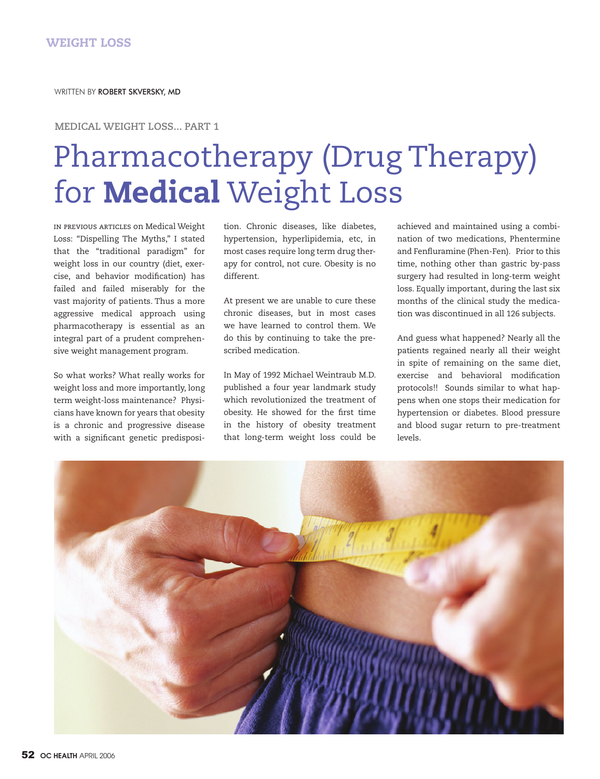## WRITTEN BY ROBERT SKVERSKY, MD

## **MEDICAL WEIGHT LOSS... PART 1**

## Pharmacotherapy (Drug Therapy) for Medical Weight Loss

in previous articles on Medical Weight Loss: "Dispelling The Myths," I stated that the "traditional paradigm" for weight loss in our country (diet, exercise, and behavior modification) has failed and failed miserably for the vast majority of patients. Thus a more aggressive medical approach using pharmacotherapy is essential as an integral part of a prudent comprehensive weight management program.

So what works? What really works for weight loss and more importantly, long term weight-loss maintenance? Physicians have known for years that obesity is a chronic and progressive disease with a significant genetic predisposition. Chronic diseases, like diabetes, hypertension, hyperlipidemia, etc, in most cases require long term drug therapy for control, not cure. Obesity is no different.

At present we are unable to cure these chronic diseases, but in most cases we have learned to control them. We do this by continuing to take the prescribed medication.

In May of 1992 Michael Weintraub M.D. published a four year landmark study which revolutionized the treatment of obesity. He showed for the first time in the history of obesity treatment that long-term weight loss could be

achieved and maintained using a combination of two medications, Phentermine and Fenfluramine (Phen-Fen). Prior to this time, nothing other than gastric by-pass surgery had resulted in long-term weight loss. Equally important, during the last six months of the clinical study the medication was discontinued in all 126 subjects.

And guess what happened? Nearly all the patients regained nearly all their weight in spite of remaining on the same diet, exercise and behavioral modification protocols!! Sounds similar to what happens when one stops their medication for hypertension or diabetes. Blood pressure and blood sugar return to pre-treatment levels.